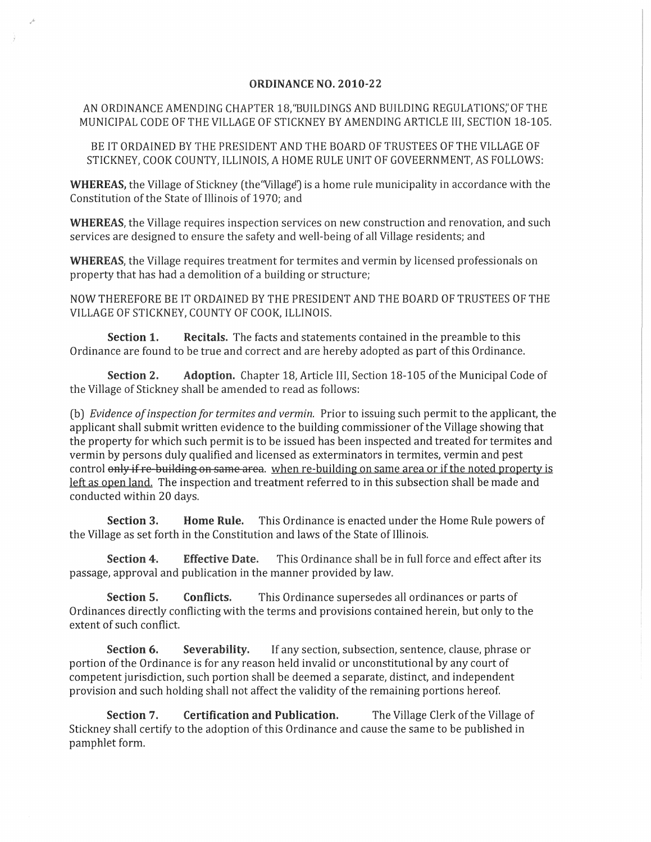## ORDINANCE NO. 2010-22

## AN ORDINANCE AMENDING CHAPTER 18, "BUILDINGS AND BUILDING REGULATIONS," OF THE MUNICIPAL CODE OF THE VILLAGE OF STICKNEY BY AMENDING ARTICLE III, SECTION 18-105.

BE IT ORDAINED BY THE PRESIDENT AND THE BOARD OF TRUSTEES OF THE VILLAGE OF STICKNEY, COOK COUNTY, ILLINOIS, A HOME RULE UNIT OF GOVEERNMENT, AS FOLLOWS:

**WHEREAS**, the Village of Stickney (the "Village") is a home rule municipality in accordance with the Constitution of the State of Illinois of 1970; and

WHEREAS, the Village requires inspection services on new construction and renovation, and such services are designed to ensure the safety and well-being of all Village residents; and

WHEREAS, the Village requires treatment for termites and vermin by licensed professionals on property that has had a demolition of a building or structure;

NOW THEREFORE BE IT ORDAINED BY THE PRESIDENT AND THE BOARD OF TRUSTEES OF THE VILLAGE OF STICKNEY, COUNTY OF COOK, ILLINOIS.

Section 1. Recitals. The facts and statements contained in the preamble to this Ordinance are found to be true and correct and are hereby adopted as part of this Ordinance.

Section 2. Adoption. Chapter 18, Article III, Section 18-105 of the Municipal Code of the Village of Stickney shall be amended to read as follows:

(b) *Evidence of inspection for termites and vermin.* Prior to issuing such permit to the applicant, the applicant shall submit written evidence to the building commissioner of the Village showing that the property for which such permit is to be issued has been inspected and treated for termites and vermin by persons duly qualified and licensed as exterminators in termites, vermin and pest control only if re-building on same area. when re-building on same area or if the noted property is left as open land. The inspection and treatment referred to in this subsection shall be made and conducted within 20 days.

Section 3. Home Rule. This Ordinance is enacted under the Home Rule powers of the Village as set forth in the Constitution and laws of the State of Illinois.

Section 4. Effective Date. This Ordinance shall be in full force and effect after its passage, approval and publication in the manner provided by law.

Section 5. Conflicts. This Ordinance supersedes all ordinances or parts of Ordinances directly conflicting with the terms and provisions contained herein, but only to the extent of such conflict.

Section 6. Severability. If any section, subsection, sentence, clause, phrase or portion of the Ordinance is for any reason held invalid or unconstitutional by any court of competent jurisdiction, such portion shall be deemed a separate, distinct, and independent provision and such holding shall not affect the validity of the remaining portions hereof.

Section 7. Certification and Publication. The Village Clerk of the Village of Stickney shall certify to the adoption of this Ordinance and cause the same to be published in pamphlet form.